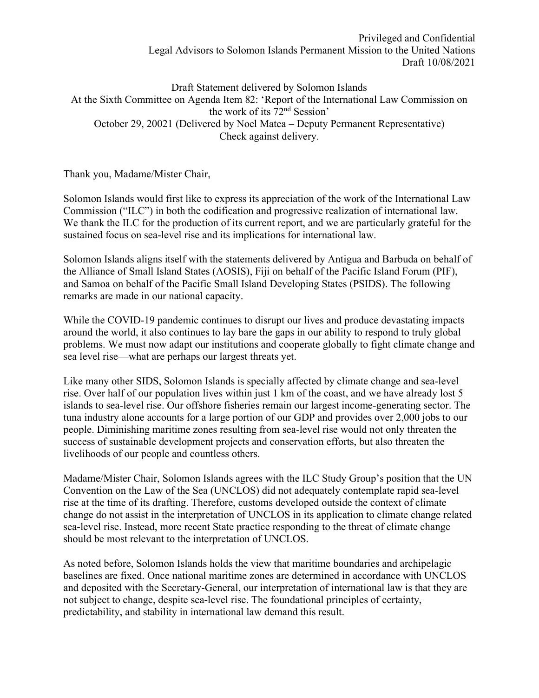Privileged and Confidential Legal Advisors to Solomon Islands Permanent Mission to the United Nations Draft 10/08/2021

Draft Statement delivered by Solomon Islands At the Sixth Committee on Agenda Item 82: 'Report of the International Law Commission on the work of its 72nd Session' October 29, 20021 (Delivered by Noel Matea – Deputy Permanent Representative) Check against delivery.

Thank you, Madame/Mister Chair,

Solomon Islands would first like to express its appreciation of the work of the International Law Commission ("ILC") in both the codification and progressive realization of international law. We thank the ILC for the production of its current report, and we are particularly grateful for the sustained focus on sea-level rise and its implications for international law.

Solomon Islands aligns itself with the statements delivered by Antigua and Barbuda on behalf of the Alliance of Small Island States (AOSIS), Fiji on behalf of the Pacific Island Forum (PIF), and Samoa on behalf of the Pacific Small Island Developing States (PSIDS). The following remarks are made in our national capacity.

While the COVID-19 pandemic continues to disrupt our lives and produce devastating impacts around the world, it also continues to lay bare the gaps in our ability to respond to truly global problems. We must now adapt our institutions and cooperate globally to fight climate change and sea level rise—what are perhaps our largest threats yet.

Like many other SIDS, Solomon Islands is specially affected by climate change and sea-level rise. Over half of our population lives within just 1 km of the coast, and we have already lost 5 islands to sea-level rise. Our offshore fisheries remain our largest income-generating sector. The tuna industry alone accounts for a large portion of our GDP and provides over 2,000 jobs to our people. Diminishing maritime zones resulting from sea-level rise would not only threaten the success of sustainable development projects and conservation efforts, but also threaten the livelihoods of our people and countless others.

Madame/Mister Chair, Solomon Islands agrees with the ILC Study Group's position that the UN Convention on the Law of the Sea (UNCLOS) did not adequately contemplate rapid sea-level rise at the time of its drafting. Therefore, customs developed outside the context of climate change do not assist in the interpretation of UNCLOS in its application to climate change related sea-level rise. Instead, more recent State practice responding to the threat of climate change should be most relevant to the interpretation of UNCLOS.

As noted before, Solomon Islands holds the view that maritime boundaries and archipelagic baselines are fixed. Once national maritime zones are determined in accordance with UNCLOS and deposited with the Secretary-General, our interpretation of international law is that they are not subject to change, despite sea-level rise. The foundational principles of certainty, predictability, and stability in international law demand this result.